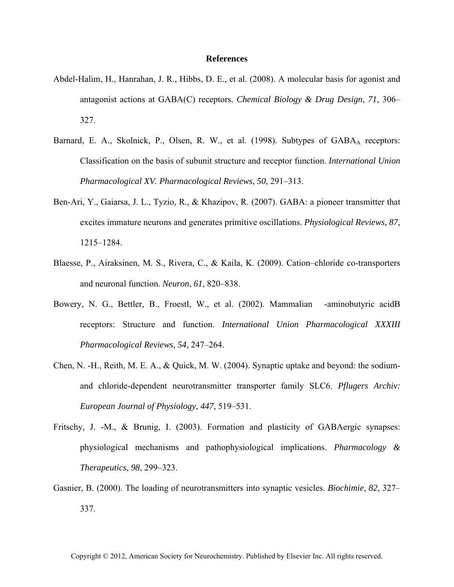## **References**

- Abdel-Halim, H., Hanrahan, J. R., Hibbs, D. E., et al. (2008). A molecular basis for agonist and antagonist actions at GABA(C) receptors. *Chemical Biology & Drug Design*, *71*, 306– 327.
- Barnard, E. A., Skolnick, P., Olsen, R. W., et al. (1998). Subtypes of GABA<sub>A</sub> receptors: Classification on the basis of subunit structure and receptor function. *International Union Pharmacological XV. Pharmacological Reviews*, *50*, 291–313.
- Ben-Ari, Y., Gaiarsa, J. L., Tyzio, R., & Khazipov, R. (2007). GABA: a pioneer transmitter that excites immature neurons and generates primitive oscillations. *Physiological Reviews*, *87*, 1215–1284.
- Blaesse, P., Airaksinen, M. S., Rivera, C., & Kaila, K. (2009). Cation–chloride co-transporters and neuronal function. *Neuron*, *61*, 820–838.
- Bowery, N. G., Bettler, B., Froestl, W., et al. (2002). Mammalian -aminobutyric acidB receptors: Structure and function. *International Union Pharmacological XXXIII Pharmacological Reviews*, *54*, 247–264.
- Chen, N. -H., Reith, M. E. A., & Quick, M. W. (2004). Synaptic uptake and beyond: the sodiumand chloride-dependent neurotransmitter transporter family SLC6. *Pflugers Archiv: European Journal of Physiology*, *447*, 519–531.
- Fritschy, J. -M., & Brunig, I. (2003). Formation and plasticity of GABAergic synapses: physiological mechanisms and pathophysiological implications. *Pharmacology & Therapeutics*, *98*, 299–323.
- Gasnier, B. (2000). The loading of neurotransmitters into synaptic vesicles. *Biochimie*, *82*, 327– 337.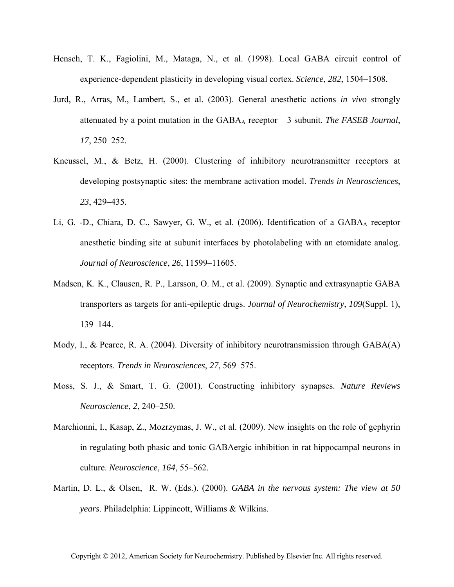- Hensch, T. K., Fagiolini, M., Mataga, N., et al. (1998). Local GABA circuit control of experience-dependent plasticity in developing visual cortex. *Science*, *282*, 1504–1508.
- Jurd, R., Arras, M., Lambert, S., et al. (2003). General anesthetic actions *in vivo* strongly attenuated by a point mutation in the GABAA receptor 3 subunit. *The FASEB Journal*, *17*, 250–252.
- Kneussel, M., & Betz, H. (2000). Clustering of inhibitory neurotransmitter receptors at developing postsynaptic sites: the membrane activation model. *Trends in Neurosciences*, *23*, 429–435.
- Li, G. -D., Chiara, D. C., Sawyer, G. W., et al. (2006). Identification of a GABA<sub>A</sub> receptor anesthetic binding site at subunit interfaces by photolabeling with an etomidate analog. *Journal of Neuroscience*, *26*, 11599–11605.
- Madsen, K. K., Clausen, R. P., Larsson, O. M., et al. (2009). Synaptic and extrasynaptic GABA transporters as targets for anti-epileptic drugs. *Journal of Neurochemistry*, *109*(Suppl. 1), 139–144.
- Mody, I., & Pearce, R. A. (2004). Diversity of inhibitory neurotransmission through GABA(A) receptors. *Trends in Neurosciences*, *27*, 569–575.
- Moss, S. J., & Smart, T. G. (2001). Constructing inhibitory synapses. *Nature Reviews Neuroscience*, *2*, 240–250.
- Marchionni, I., Kasap, Z., Mozrzymas, J. W., et al. (2009). New insights on the role of gephyrin in regulating both phasic and tonic GABAergic inhibition in rat hippocampal neurons in culture. *Neuroscience*, *164*, 55–562.
- Martin, D. L., & Olsen, R. W. (Eds.). (2000). *GABA in the nervous system: The view at 50 years*. Philadelphia: Lippincott, Williams & Wilkins.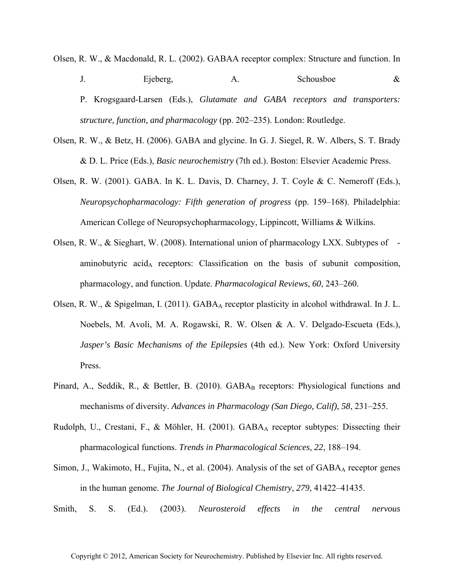- Olsen, R. W., & Macdonald, R. L. (2002). GABAA receptor complex: Structure and function. In J. Ejeberg, A. Schousboe & P. Krogsgaard-Larsen (Eds.), *Glutamate and GABA receptors and transporters: structure, function, and pharmacology* (pp. 202–235). London: Routledge.
- Olsen, R. W., & Betz, H. (2006). GABA and glycine. In G. J. Siegel, R. W. Albers, S. T. Brady & D. L. Price (Eds.), *Basic neurochemistry* (7th ed.). Boston: Elsevier Academic Press.
- Olsen, R. W. (2001). GABA. In K. L. Davis, D. Charney, J. T. Coyle & C. Nemeroff (Eds.), *Neuropsychopharmacology: Fifth generation of progress* (pp. 159–168). Philadelphia: American College of Neuropsychopharmacology, Lippincott, Williams & Wilkins.
- Olsen, R. W., & Sieghart, W. (2008). International union of pharmacology LXX. Subtypes of aminobutyric acid<sub>A</sub> receptors: Classification on the basis of subunit composition, pharmacology, and function. Update. *Pharmacological Reviews*, *60*, 243–260.
- Olsen, R. W., & Spigelman, I. (2011). GABA<sub>A</sub> receptor plasticity in alcohol withdrawal. In J. L. Noebels, M. Avoli, M. A. Rogawski, R. W. Olsen & A. V. Delgado-Escueta (Eds.), *Jasper's Basic Mechanisms of the Epilepsies* (4th ed.). New York: Oxford University Press.
- Pinard, A., Seddik, R., & Bettler, B. (2010). GABA<sub>B</sub> receptors: Physiological functions and mechanisms of diversity. *Advances in Pharmacology (San Diego, Calif)*, *58*, 231–255.
- Rudolph, U., Crestani, F., & Möhler, H. (2001). GABAA receptor subtypes: Dissecting their pharmacological functions. *Trends in Pharmacological Sciences*, *22*, 188–194.
- Simon, J., Wakimoto, H., Fujita, N., et al. (2004). Analysis of the set of  $GABA_A$  receptor genes in the human genome. *The Journal of Biological Chemistry*, *279*, 41422–41435.
- Smith, S. S. (Ed.). (2003). *Neurosteroid effects in the central nervous*